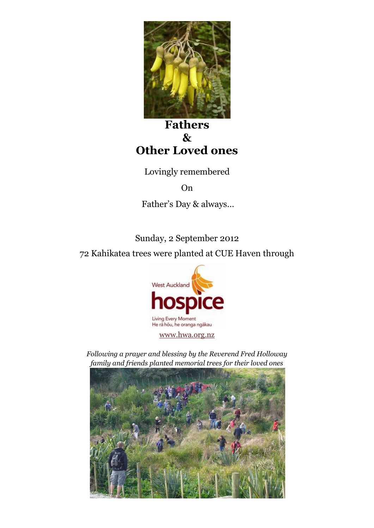

**Fathers & Other Loved ones**

Lovingly remembered

On

Father's Day & always…

Sunday, 2 September 2012 72 Kahikatea trees were planted at CUE Haven through



*Following a prayer and blessing by the Reverend Fred Holloway family and friends planted memorial trees for their loved ones*

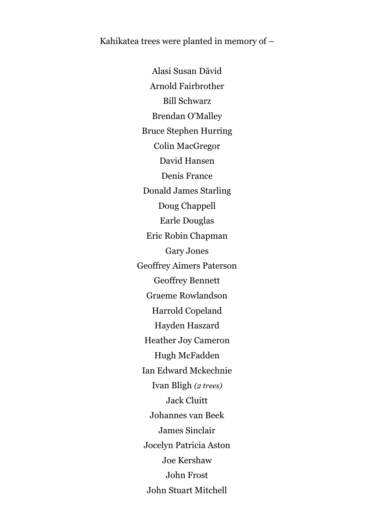Kahikatea trees were planted in memory of –

Alasi Susan Dāvid Arnold Fairbrother Bill Schwarz Brendan O'Malley Bruce Stephen Hurring Colin MacGregor David Hansen Denis France Donald James Starling Doug Chappell Earle Douglas Eric Robin Chapman Gary Jones Geoffrey Aimers Paterson Geoffrey Bennett Graeme Rowlandson Harrold Copeland Hayden Haszard Heather Joy Cameron Hugh McFadden Ian Edward Mckechnie Ivan Bligh *(2 trees)* Jack Cluitt Johannes van Beek James Sinclair Jocelyn Patricia Aston Joe Kershaw John Frost John Stuart Mitchell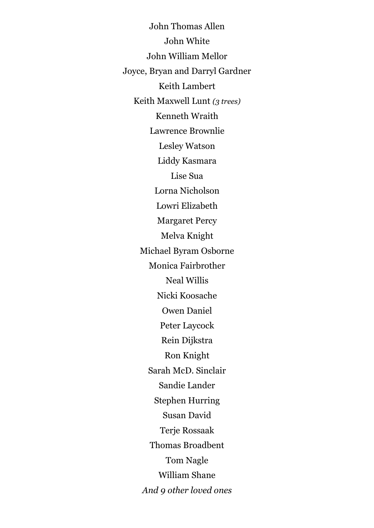John Thomas Allen John White John William Mellor Joyce, Bryan and Darryl Gardner Keith Lambert Keith Maxwell Lunt *(3 trees)* Kenneth Wraith Lawrence Brownlie Lesley Watson Liddy Kasmara Lise Sua Lorna Nicholson Lowri Elizabeth Margaret Percy Melva Knight Michael Byram Osborne Monica Fairbrother Neal Willis Nicki Koosache Owen Daniel Peter Laycock Rein Dijkstra Ron Knight Sarah McD. Sinclair Sandie Lander Stephen Hurring Susan David Terje Rossaak Thomas Broadbent Tom Nagle William Shane *And 9 other loved ones*